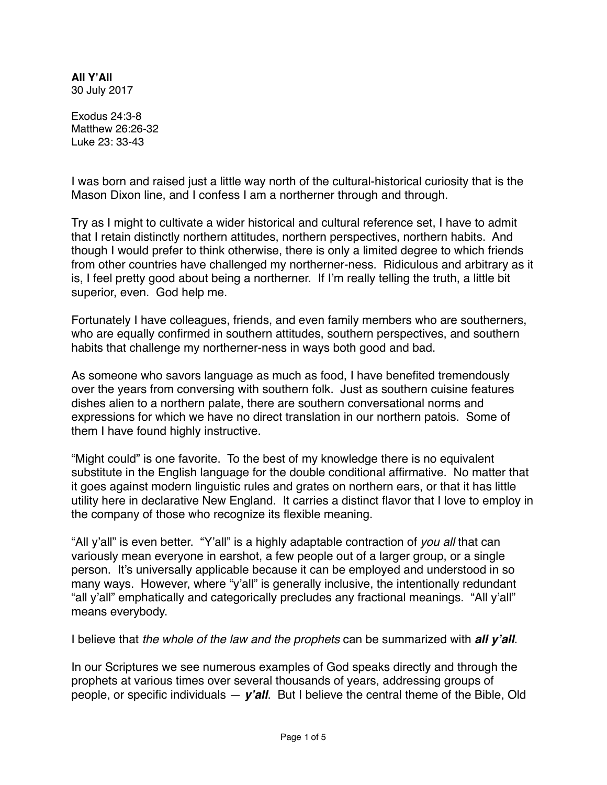**All Y'All** 30 July 2017

Exodus 24:3-8 Matthew 26:26-32 Luke 23: 33-43

I was born and raised just a little way north of the cultural-historical curiosity that is the Mason Dixon line, and I confess I am a northerner through and through.

Try as I might to cultivate a wider historical and cultural reference set, I have to admit that I retain distinctly northern attitudes, northern perspectives, northern habits. And though I would prefer to think otherwise, there is only a limited degree to which friends from other countries have challenged my northerner-ness. Ridiculous and arbitrary as it is, I feel pretty good about being a northerner. If I'm really telling the truth, a little bit superior, even. God help me.

Fortunately I have colleagues, friends, and even family members who are southerners, who are equally confirmed in southern attitudes, southern perspectives, and southern habits that challenge my northerner-ness in ways both good and bad.

As someone who savors language as much as food, I have benefited tremendously over the years from conversing with southern folk. Just as southern cuisine features dishes alien to a northern palate, there are southern conversational norms and expressions for which we have no direct translation in our northern patois. Some of them I have found highly instructive.

"Might could" is one favorite. To the best of my knowledge there is no equivalent substitute in the English language for the double conditional affirmative. No matter that it goes against modern linguistic rules and grates on northern ears, or that it has little utility here in declarative New England. It carries a distinct flavor that I love to employ in the company of those who recognize its flexible meaning.

"All y'all" is even better. "Y'all" is a highly adaptable contraction of *you all* that can variously mean everyone in earshot, a few people out of a larger group, or a single person. It's universally applicable because it can be employed and understood in so many ways. However, where "y'all" is generally inclusive, the intentionally redundant "all y'all" emphatically and categorically precludes any fractional meanings. "All y'all" means everybody.

I believe that *the whole of the law and the prophets* can be summarized with *all y'all*.

In our Scriptures we see numerous examples of God speaks directly and through the prophets at various times over several thousands of years, addressing groups of people, or specific individuals — *y'all*. But I believe the central theme of the Bible, Old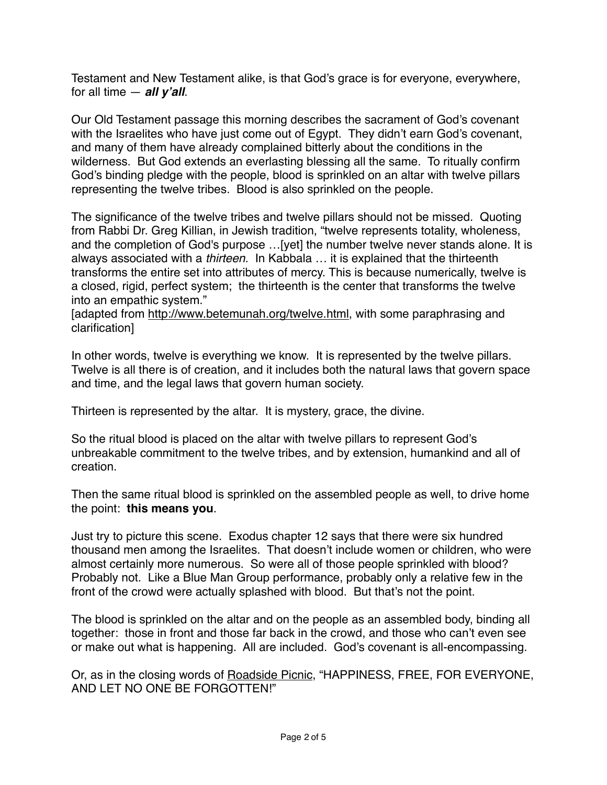Testament and New Testament alike, is that God's grace is for everyone, everywhere, for all time — *all y'all*.

Our Old Testament passage this morning describes the sacrament of God's covenant with the Israelites who have just come out of Egypt. They didn't earn God's covenant, and many of them have already complained bitterly about the conditions in the wilderness. But God extends an everlasting blessing all the same. To ritually confirm God's binding pledge with the people, blood is sprinkled on an altar with twelve pillars representing the twelve tribes. Blood is also sprinkled on the people.

The significance of the twelve tribes and twelve pillars should not be missed. Quoting from Rabbi Dr. Greg Killian, in Jewish tradition, "twelve represents totality, wholeness, and the completion of God's purpose …[yet] the number twelve never stands alone. It is always associated with a *thirteen*. In Kabbala … it is explained that the thirteenth transforms the entire set into attributes of mercy. This is because numerically, twelve is a closed, rigid, perfect system; the thirteenth is the center that transforms the twelve into an empathic system."

[adapted from<http://www.betemunah.org/twelve.html>, with some paraphrasing and clarification]

In other words, twelve is everything we know. It is represented by the twelve pillars. Twelve is all there is of creation, and it includes both the natural laws that govern space and time, and the legal laws that govern human society.

Thirteen is represented by the altar. It is mystery, grace, the divine.

So the ritual blood is placed on the altar with twelve pillars to represent God's unbreakable commitment to the twelve tribes, and by extension, humankind and all of creation.

Then the same ritual blood is sprinkled on the assembled people as well, to drive home the point: **this means you**.

Just try to picture this scene. Exodus chapter 12 says that there were six hundred thousand men among the Israelites. That doesn't include women or children, who were almost certainly more numerous. So were all of those people sprinkled with blood? Probably not. Like a Blue Man Group performance, probably only a relative few in the front of the crowd were actually splashed with blood. But that's not the point.

The blood is sprinkled on the altar and on the people as an assembled body, binding all together: those in front and those far back in the crowd, and those who can't even see or make out what is happening. All are included. God's covenant is all-encompassing.

Or, as in the closing words of [Roadside Picnic](https://en.wikipedia.org/wiki/Roadside_Picnic), "HAPPINESS, FREE, FOR EVERYONE, AND LET NO ONE BE FORGOTTEN!"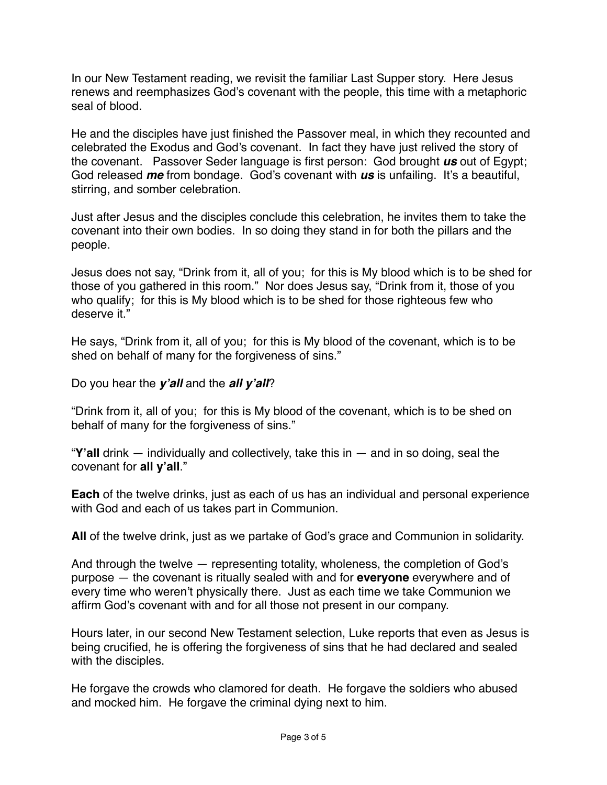In our New Testament reading, we revisit the familiar Last Supper story. Here Jesus renews and reemphasizes God's covenant with the people, this time with a metaphoric seal of blood.

He and the disciples have just finished the Passover meal, in which they recounted and celebrated the Exodus and God's covenant. In fact they have just relived the story of the covenant. Passover Seder language is first person: God brought *us* out of Egypt; God released *me* from bondage. God's covenant with *us* is unfailing. It's a beautiful, stirring, and somber celebration.

Just after Jesus and the disciples conclude this celebration, he invites them to take the covenant into their own bodies. In so doing they stand in for both the pillars and the people.

Jesus does not say, "Drink from it, all of you; for this is My blood which is to be shed for those of you gathered in this room." Nor does Jesus say, "Drink from it, those of you who qualify; for this is My blood which is to be shed for those righteous few who deserve it."

He says, "Drink from it, all of you; for this is My blood of the covenant, which is to be shed on behalf of many for the forgiveness of sins."

Do you hear the *y'all* and the *all y'all*?

"Drink from it, all of you; for this is My blood of the covenant, which is to be shed on behalf of many for the forgiveness of sins."

"**Y'all** drink — individually and collectively, take this in — and in so doing, seal the covenant for **all y'all**."

**Each** of the twelve drinks, just as each of us has an individual and personal experience with God and each of us takes part in Communion.

**All** of the twelve drink, just as we partake of God's grace and Communion in solidarity.

And through the twelve — representing totality, wholeness, the completion of God's purpose — the covenant is ritually sealed with and for **everyone** everywhere and of every time who weren't physically there. Just as each time we take Communion we affirm God's covenant with and for all those not present in our company.

Hours later, in our second New Testament selection, Luke reports that even as Jesus is being crucified, he is offering the forgiveness of sins that he had declared and sealed with the disciples.

He forgave the crowds who clamored for death. He forgave the soldiers who abused and mocked him. He forgave the criminal dying next to him.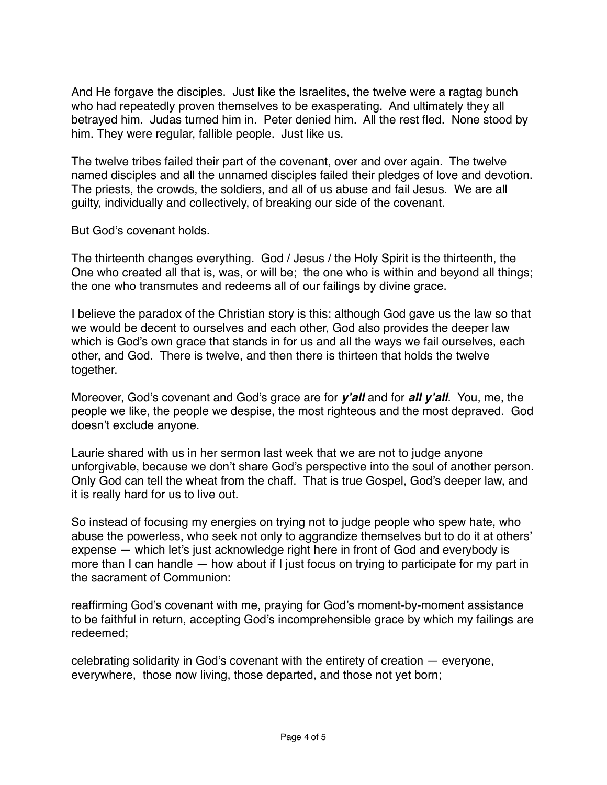And He forgave the disciples. Just like the Israelites, the twelve were a ragtag bunch who had repeatedly proven themselves to be exasperating. And ultimately they all betrayed him. Judas turned him in. Peter denied him. All the rest fled. None stood by him. They were regular, fallible people. Just like us.

The twelve tribes failed their part of the covenant, over and over again. The twelve named disciples and all the unnamed disciples failed their pledges of love and devotion. The priests, the crowds, the soldiers, and all of us abuse and fail Jesus. We are all guilty, individually and collectively, of breaking our side of the covenant.

But God's covenant holds.

The thirteenth changes everything. God / Jesus / the Holy Spirit is the thirteenth, the One who created all that is, was, or will be; the one who is within and beyond all things; the one who transmutes and redeems all of our failings by divine grace.

I believe the paradox of the Christian story is this: although God gave us the law so that we would be decent to ourselves and each other, God also provides the deeper law which is God's own grace that stands in for us and all the ways we fail ourselves, each other, and God. There is twelve, and then there is thirteen that holds the twelve together.

Moreover, God's covenant and God's grace are for *y'all* and for *all y'all*. You, me, the people we like, the people we despise, the most righteous and the most depraved. God doesn't exclude anyone.

Laurie shared with us in her sermon last week that we are not to judge anyone unforgivable, because we don't share God's perspective into the soul of another person. Only God can tell the wheat from the chaff. That is true Gospel, God's deeper law, and it is really hard for us to live out.

So instead of focusing my energies on trying not to judge people who spew hate, who abuse the powerless, who seek not only to aggrandize themselves but to do it at others' expense — which let's just acknowledge right here in front of God and everybody is more than I can handle — how about if I just focus on trying to participate for my part in the sacrament of Communion:

reaffirming God's covenant with me, praying for God's moment-by-moment assistance to be faithful in return, accepting God's incomprehensible grace by which my failings are redeemed;

celebrating solidarity in God's covenant with the entirety of creation — everyone, everywhere, those now living, those departed, and those not yet born;